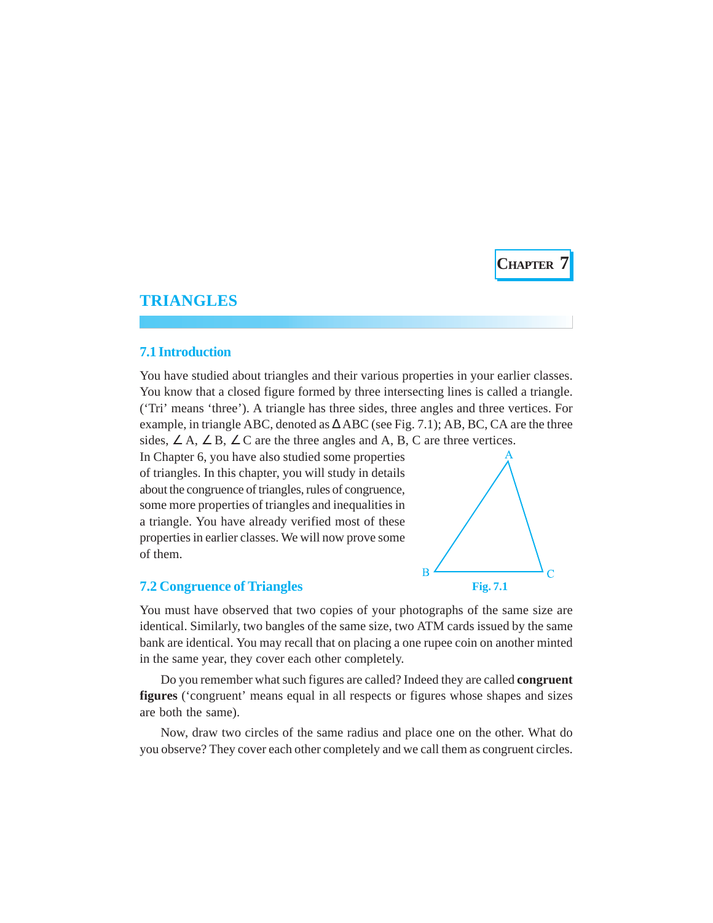**CHAPTER 7**

# **TRIANGLES**

### **7.1 Introduction**

You have studied about triangles and their various properties in your earlier classes. You know that a closed figure formed by three intersecting lines is called a triangle. ('Tri' means 'three'). A triangle has three sides, three angles and three vertices. For example, in triangle ABC, denoted as  $\triangle$  ABC (see Fig. 7.1); AB, BC, CA are the three sides,  $\angle A$ ,  $\angle B$ ,  $\angle C$  are the three angles and A, B, C are three vertices.

In Chapter 6, you have also studied some properties of triangles. In this chapter, you will study in details about the congruence of triangles, rules of congruence, some more properties of triangles and inequalities in a triangle. You have already verified most of these properties in earlier classes. We will now prove some of them.



# **7.2 Congruence of Triangles**

You must have observed that two copies of your photographs of the same size are identical. Similarly, two bangles of the same size, two ATM cards issued by the same bank are identical. You may recall that on placing a one rupee coin on another minted in the same year, they cover each other completely.

Do you remember what such figures are called? Indeed they are called **congruent figures** ('congruent' means equal in all respects or figures whose shapes and sizes are both the same).

Now, draw two circles of the same radius and place one on the other. What do you observe? They cover each other completely and we call them as congruent circles.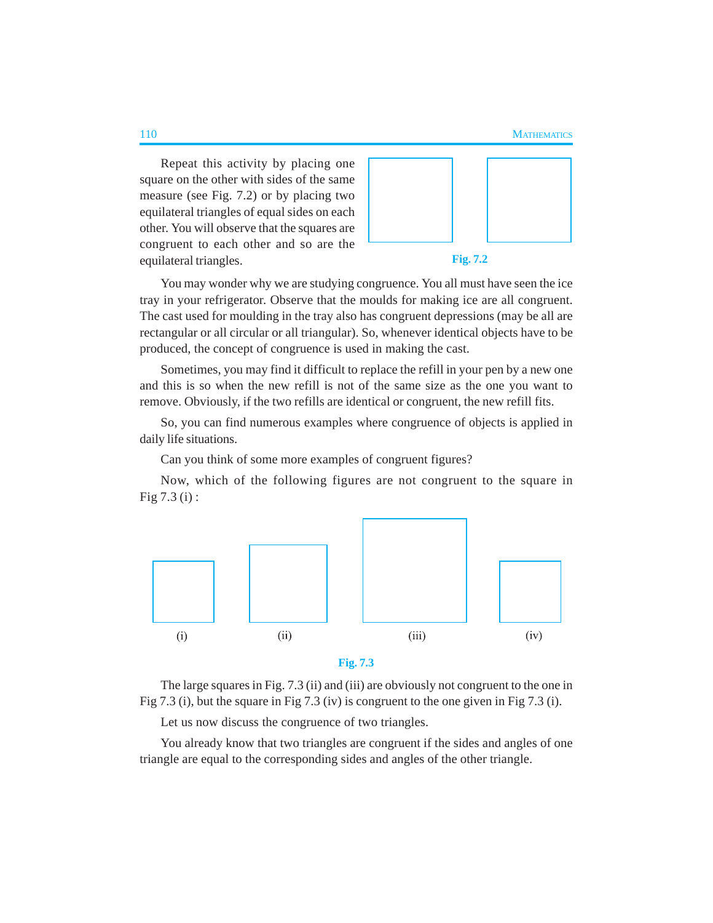Repeat this activity by placing one square on the other with sides of the same measure (see Fig. 7.2) or by placing two equilateral triangles of equal sides on each other. You will observe that the squares are congruent to each other and so are the equilateral triangles.





You may wonder why we are studying congruence. You all must have seen the ice tray in your refrigerator. Observe that the moulds for making ice are all congruent. The cast used for moulding in the tray also has congruent depressions (may be all are rectangular or all circular or all triangular). So, whenever identical objects have to be produced, the concept of congruence is used in making the cast.

Sometimes, you may find it difficult to replace the refill in your pen by a new one and this is so when the new refill is not of the same size as the one you want to remove. Obviously, if the two refills are identical or congruent, the new refill fits.

So, you can find numerous examples where congruence of objects is applied in daily life situations.

Can you think of some more examples of congruent figures?

Now, which of the following figures are not congruent to the square in Fig 7.3 (i) :



The large squares in Fig. 7.3 (ii) and (iii) are obviously not congruent to the one in Fig 7.3 (i), but the square in Fig 7.3 (iv) is congruent to the one given in Fig 7.3 (i).

Let us now discuss the congruence of two triangles.

You already know that two triangles are congruent if the sides and angles of one triangle are equal to the corresponding sides and angles of the other triangle.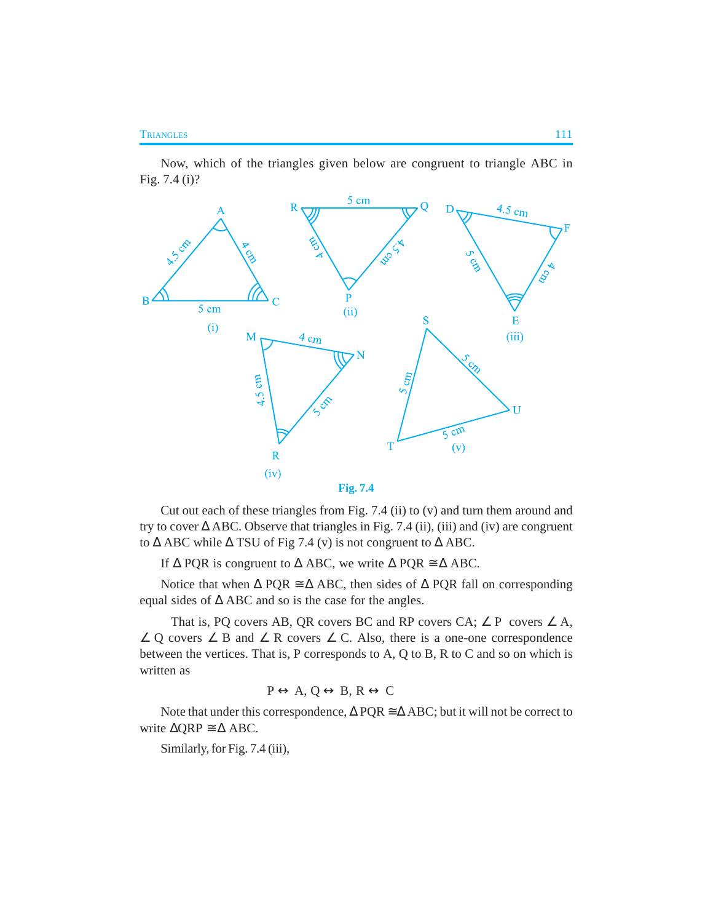Now, which of the triangles given below are congruent to triangle ABC in Fig. 7.4 (i)?



Cut out each of these triangles from Fig. 7.4 (ii) to (v) and turn them around and try to cover  $\triangle$  ABC. Observe that triangles in Fig. 7.4 (ii), (iii) and (iv) are congruent to  $\triangle$  ABC while  $\triangle$  TSU of Fig 7.4 (v) is not congruent to  $\triangle$  ABC.

If  $\triangle$  PQR is congruent to  $\triangle$  ABC, we write  $\triangle$  PQR  $\cong \triangle$  ABC.

Notice that when  $\Delta$  PQR  $\cong \Delta$  ABC, then sides of  $\Delta$  PQR fall on corresponding equal sides of ∆ ABC and so is the case for the angles.

That is, PQ covers AB, QR covers BC and RP covers CA;  $\angle$  P covers  $\angle$  A,  $\angle$  Q covers  $\angle$  B and  $\angle$  R covers  $\angle$  C. Also, there is a one-one correspondence between the vertices. That is, P corresponds to A, Q to B, R to C and so on which is written as

$$
P \leftrightarrow A, Q \leftrightarrow B, R \leftrightarrow C
$$

Note that under this correspondence,  $\triangle PQR \cong \triangle ABC$ ; but it will not be correct to write  $\triangle$ QRP  $\cong \triangle$  ABC.

Similarly, for Fig. 7.4 (iii),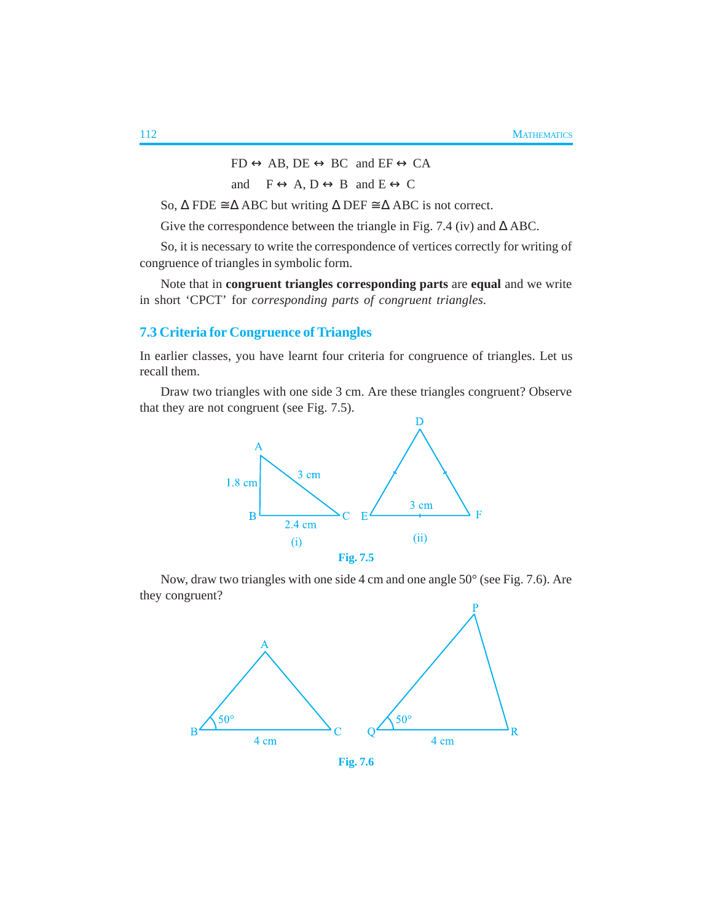$FD \leftrightarrow AB$ ,  $DE \leftrightarrow BC$  and  $EF \leftrightarrow CA$ 

and  $F \leftrightarrow A$ ,  $D \leftrightarrow B$  and  $E \leftrightarrow C$ 

So,  $\Delta$  FDE  $\cong$   $\Delta$  ABC but writing  $\Delta$  DEF  $\cong$   $\Delta$  ABC is not correct.

Give the correspondence between the triangle in Fig. 7.4 (iv) and  $\triangle$  ABC.

So, it is necessary to write the correspondence of vertices correctly for writing of congruence of triangles in symbolic form.

Note that in **congruent triangles corresponding parts** are **equal** and we write in short 'CPCT' for *corresponding parts of congruent triangles*.

### **7.3 Criteria for Congruence of Triangles**

In earlier classes, you have learnt four criteria for congruence of triangles. Let us recall them.

Draw two triangles with one side 3 cm. Are these triangles congruent? Observe that they are not congruent (see Fig. 7.5).



Now, draw two triangles with one side 4 cm and one angle 50° (see Fig. 7.6). Are they congruent?



**Fig. 7.6**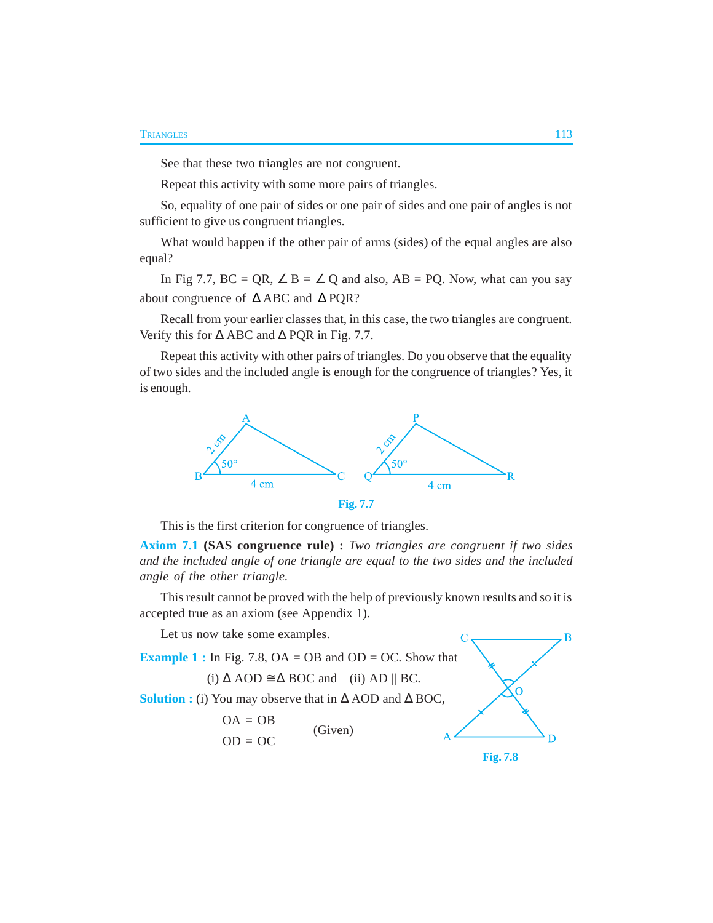See that these two triangles are not congruent.

Repeat this activity with some more pairs of triangles.

So, equality of one pair of sides or one pair of sides and one pair of angles is not sufficient to give us congruent triangles.

What would happen if the other pair of arms (sides) of the equal angles are also equal?

In Fig 7.7, BC = QR,  $\angle$  B =  $\angle$  Q and also, AB = PQ. Now, what can you say about congruence of ∆ ABC and ∆ PQR?

Recall from your earlier classes that, in this case, the two triangles are congruent. Verify this for ∆ ABC and ∆ PQR in Fig. 7.7.

Repeat this activity with other pairs of triangles. Do you observe that the equality of two sides and the included angle is enough for the congruence of triangles? Yes, it is enough.



This is the first criterion for congruence of triangles.

**Axiom 7.1 (SAS congruence rule) :** *Two triangles are congruent if two sides and the included angle of one triangle are equal to the two sides and the included angle of the other triangle.*

This result cannot be proved with the help of previously known results and so it is accepted true as an axiom (see Appendix 1).

Let us now take some examples.

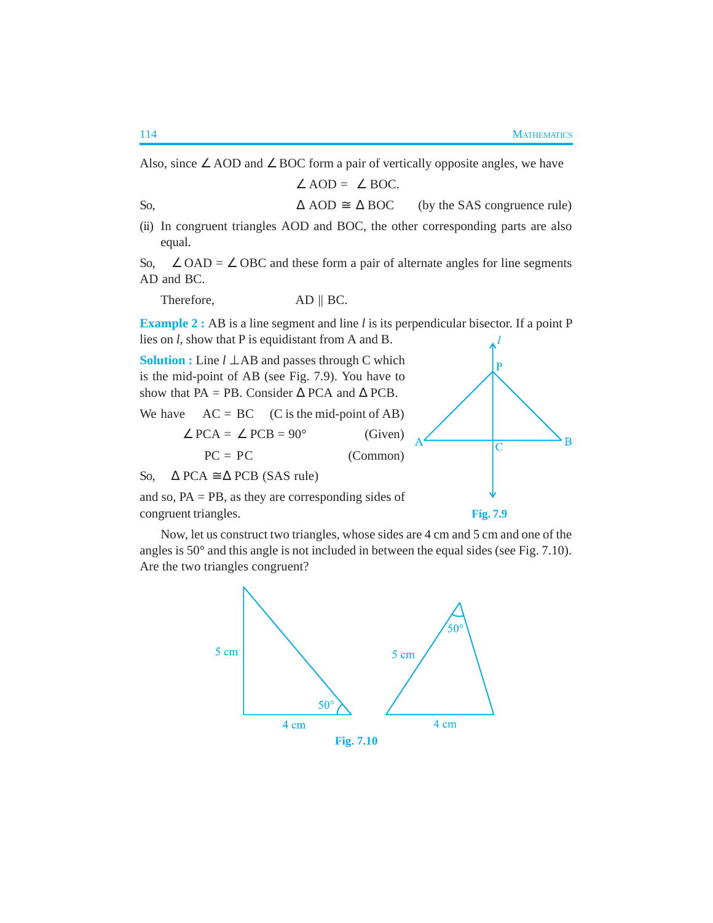Also, since ∠ AOD and ∠ BOC form a pair of vertically opposite angles, we have

 $\angle$  AOD =  $\angle$  BOC.

So,  $\triangle AOD \cong \triangle BOC$  (by the SAS congruence rule) (ii) In congruent triangles AOD and BOC, the other corresponding parts are also equal.

So,  $\angle$  OAD =  $\angle$  OBC and these form a pair of alternate angles for line segments AD and BC.

Therefore,  $AD \parallel BC$ .

**Example 2 :** AB is a line segment and line *l* is its perpendicular bisector. If a point P lies on *l*, show that P is equidistant from A and B.

**Solution :** Line *l* ⊥ AB and passes through C which is the mid-point of AB (see Fig. 7.9). You have to show that PA = PB. Consider  $\triangle$  PCA and  $\triangle$  PCB.

We have  $AC = BC$  (C is the mid-point of AB)

 $\angle$  PCA =  $\angle$  PCB = 90° (Given)  $PC = PC$  (Common)

So,  $\triangle$  PCA  $\cong \triangle$  PCB (SAS rule)

and so,  $PA = PB$ , as they are corresponding sides of congruent triangles.

**Fig. 7.9**

P

 $\mathbf C$ 

 $\overline{B}$ 

Now, let us construct two triangles, whose sides are 4 cm and 5 cm and one of the angles is 50° and this angle is not included in between the equal sides (see Fig. 7.10). Are the two triangles congruent?

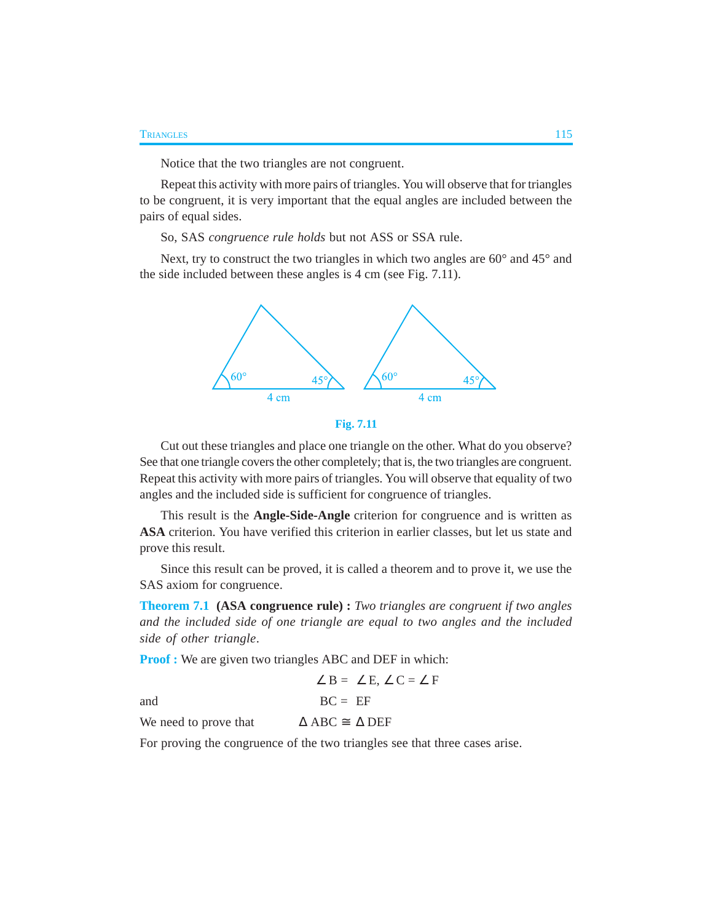Notice that the two triangles are not congruent.

Repeat this activity with more pairs of triangles. You will observe that for triangles to be congruent, it is very important that the equal angles are included between the pairs of equal sides.

So, SAS *congruence rule holds* but not ASS or SSA rule.

Next, try to construct the two triangles in which two angles are  $60^{\circ}$  and  $45^{\circ}$  and the side included between these angles is 4 cm (see Fig. 7.11).



```
Fig. 7.11
```
Cut out these triangles and place one triangle on the other. What do you observe? See that one triangle covers the other completely; that is, the two triangles are congruent. Repeat this activity with more pairs of triangles. You will observe that equality of two angles and the included side is sufficient for congruence of triangles.

This result is the **Angle-Side-Angle** criterion for congruence and is written as **ASA** criterion. You have verified this criterion in earlier classes, but let us state and prove this result.

Since this result can be proved, it is called a theorem and to prove it, we use the SAS axiom for congruence.

**Theorem 7.1 (ASA congruence rule) :** *Two triangles are congruent if two angles and the included side of one triangle are equal to two angles and the included side of other triangle*.

**Proof :** We are given two triangles ABC and DEF in which:

$$
\angle B = \angle E, \angle C = \angle F
$$
  
and  

$$
BC = EF
$$
  
We need to prove that  

$$
\Delta ABC \cong \Delta DEF
$$

For proving the congruence of the two triangles see that three cases arise.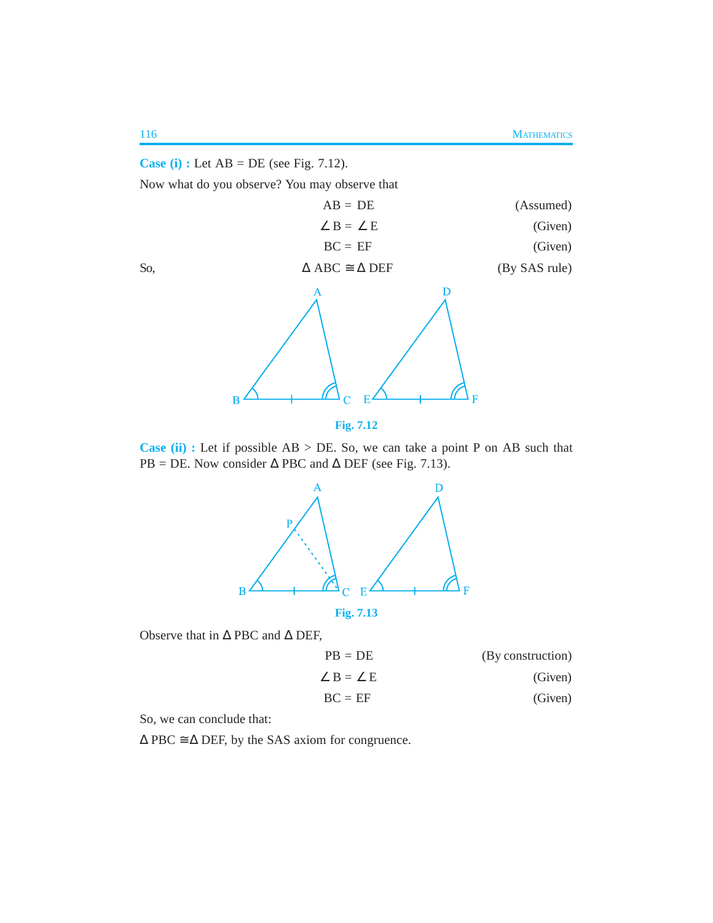### **Case (i) :** Let AB = DE (see Fig. 7.12).

Now what do you observe? You may observe that

| (Assumed)     | $AB = DE$                         |     |
|---------------|-----------------------------------|-----|
| (Given)       | $\angle$ B = $\angle$ E           |     |
| (Given)       | $BC = EF$                         |     |
| (By SAS rule) | $\Delta$ ABC $\cong$ $\Delta$ DEF | So, |





**Case (ii) :** Let if possible AB > DE. So, we can take a point P on AB such that PB = DE. Now consider  $\triangle$  PBC and  $\triangle$  DEF (see Fig. 7.13).



Observe that in ∆ PBC and ∆ DEF,

| $PB = DE$               | (By construction) |
|-------------------------|-------------------|
| $\angle$ B = $\angle$ E | (Given)           |
| $BC = EF$               | (Given)           |

So, we can conclude that:

 $\triangle$  PBC  $\cong$   $\triangle$  DEF, by the SAS axiom for congruence.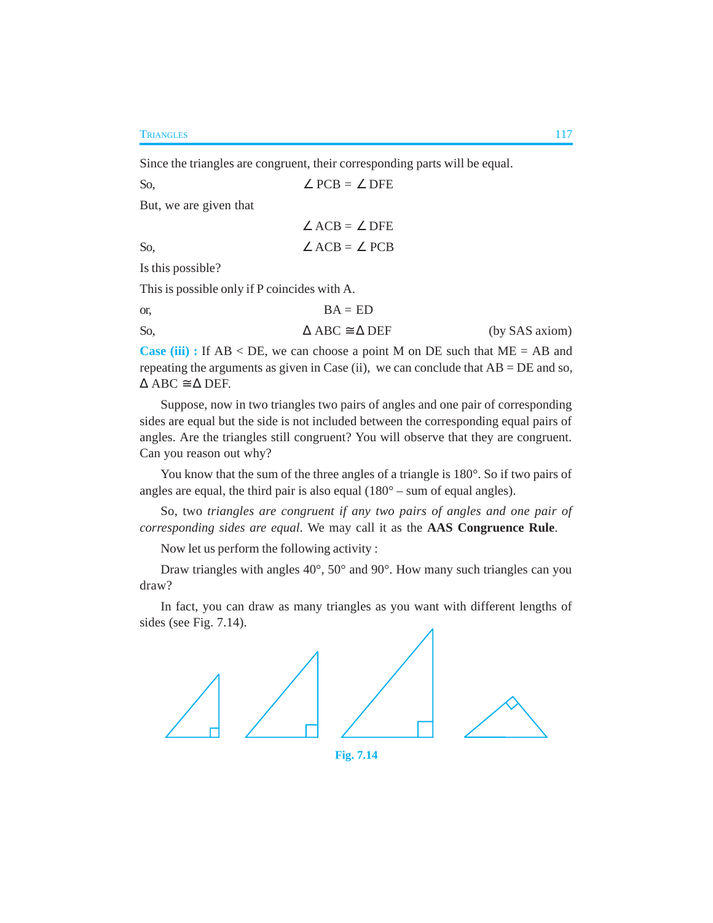**TRIANGLES** 117

Since the triangles are congruent, their corresponding parts will be equal.

So,  $∠$  PCB = ∠ DFE

But, we are given that

 $\angle$  ACB =  $\angle$  DFE So, ∠  $\angle ACB = \angle PCB$ 

Is this possible?

This is possible only if P coincides with A.

| or. | $BA = ED$                             |                |
|-----|---------------------------------------|----------------|
| So, | $\triangle$ ABC $\cong \triangle$ DEF | (by SAS axiom) |

**Case (iii) :** If AB < DE, we can choose a point M on DE such that ME = AB and repeating the arguments as given in Case (ii), we can conclude that  $AB = DE$  and so,  $\triangle$  ABC  $\cong \triangle$  DEF.

Suppose, now in two triangles two pairs of angles and one pair of corresponding sides are equal but the side is not included between the corresponding equal pairs of angles. Are the triangles still congruent? You will observe that they are congruent. Can you reason out why?

You know that the sum of the three angles of a triangle is 180°. So if two pairs of angles are equal, the third pair is also equal  $(180^\circ - \text{sum of equal angles}).$ 

So, two *triangles are congruent if any two pairs of angles and one pair of corresponding sides are equal*. We may call it as the **AAS Congruence Rule**.

Now let us perform the following activity :

Draw triangles with angles 40°, 50° and 90°. How many such triangles can you draw?

In fact, you can draw as many triangles as you want with different lengths of sides (see Fig. 7.14).



**Fig. 7.14**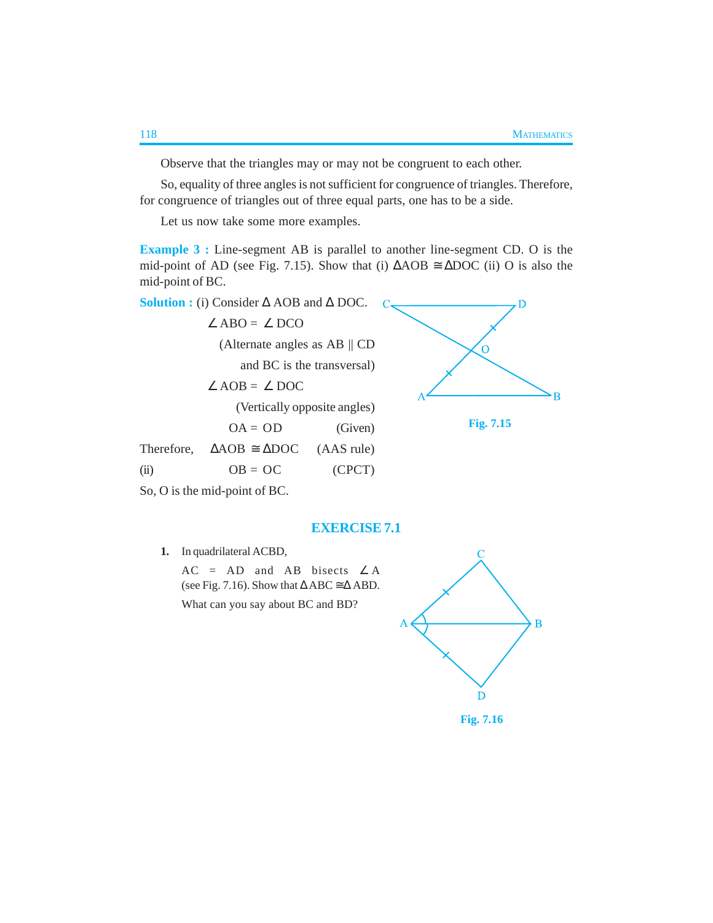Observe that the triangles may or may not be congruent to each other.

So, equality of three angles is not sufficient for congruence of triangles. Therefore, for congruence of triangles out of three equal parts, one has to be a side.

Let us now take some more examples.

**Example 3 :** Line-segment AB is parallel to another line-segment CD. O is the mid-point of AD (see Fig. 7.15). Show that (i)  $\triangle AOB \cong \triangle DOC$  (ii) O is also the mid-point of BC.

**Solution :** (i) Consider ∆ AOB and ∆ DOC.

|      | $\angle$ ABO = $\angle$ DCO                    |            |
|------|------------------------------------------------|------------|
|      | (Alternate angles as $AB \parallel CD$         |            |
|      | and BC is the transversal)                     |            |
|      | $\angle AOB = \angle DOC$                      |            |
|      | (Vertically opposite angles)                   |            |
|      | $OA = OD$                                      | (Given)    |
|      | Therefore, $\triangle AOB \cong \triangle DOC$ | (AAS rule) |
| (ii) | $OB = OC$                                      | (CPCT)     |
|      |                                                |            |



**Fig. 7.15**

So, O is the mid-point of BC.

### **EXERCISE 7.1**

**1.** In quadrilateral ACBD,

 $AC = AD$  and  $AB$  bisects  $\angle A$ (see Fig. 7.16). Show that  $\triangle$  ABC  $\cong$   $\triangle$  ABD.

What can you say about BC and BD?



**Fig. 7.16**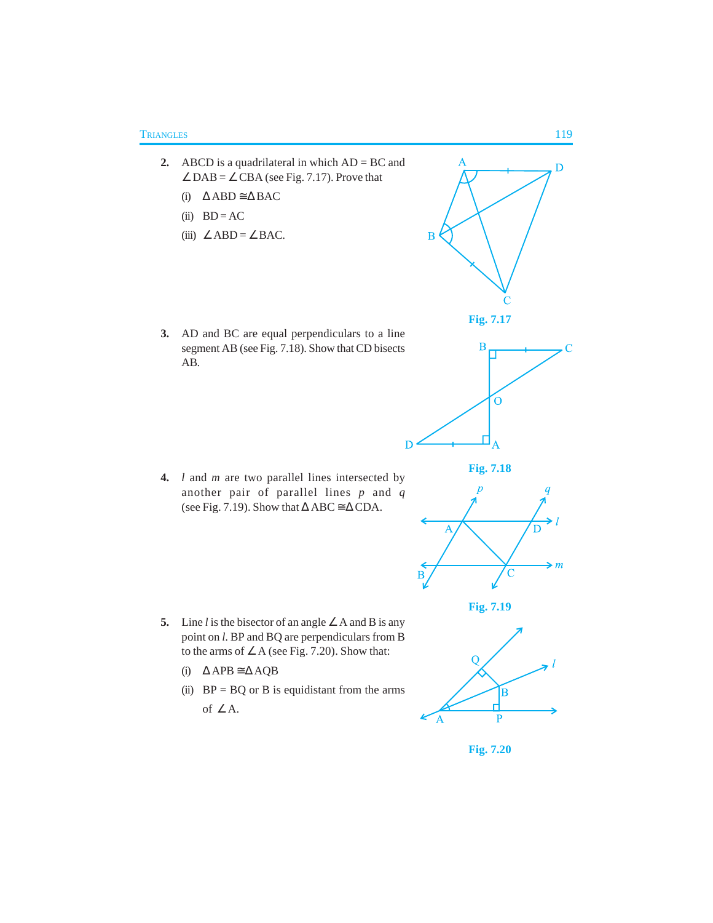- **2.** ABCD is a quadrilateral in which AD = BC and  $\angle$  DAB =  $\angle$  CBA (see Fig. 7.17). Prove that
	- (i) ∆ ABD ≅ ∆ BAC
	- (ii)  $BD = AC$
	- (iii)  $∠ABD = ∠BAC$ .



**4.** *l* and *m* are two parallel lines intersected by another pair of parallel lines *p* and *q* (see Fig. 7.19). Show that  $\triangle$  ABC  $\cong \triangle$  CDA.

- **5.** Line *l* is the bisector of an angle ∠ A and B is any point on *l*. BP and BQ are perpendiculars from B to the arms of ∠ A (see Fig. 7.20). Show that:
	- (i) ∆ APB ≅ ∆ AQB
	- (ii)  $BP = BQ$  or B is equidistant from the arms of  $\angle$  A.









D







**Fig. 7.20**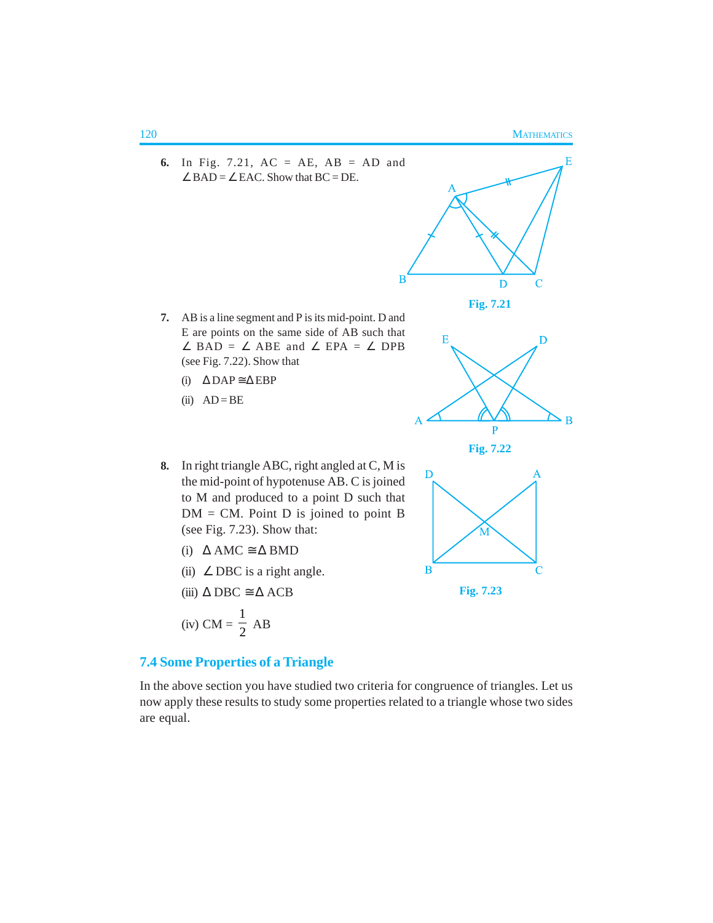

# **7.4 Some Properties of a Triangle**

In the above section you have studied two criteria for congruence of triangles. Let us now apply these results to study some properties related to a triangle whose two sides are equal.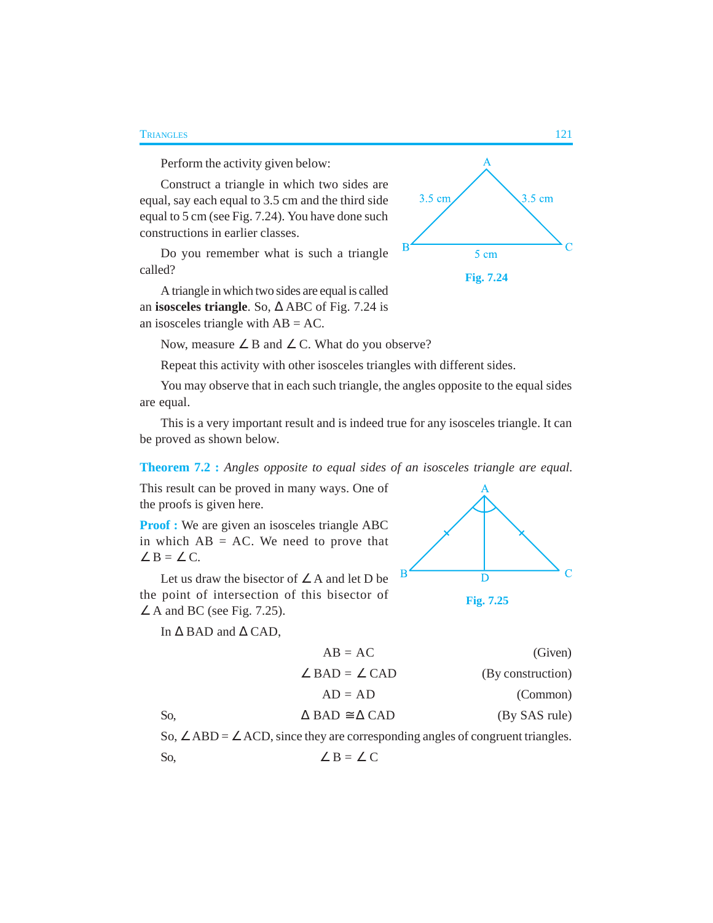### **TRIANGLES** 121

Perform the activity given below:

Construct a triangle in which two sides are equal, say each equal to 3.5 cm and the third side equal to 5 cm (see Fig. 7.24). You have done such constructions in earlier classes.

Do you remember what is such a triangle called?

A triangle in which two sides are equal is called an **isosceles triangle**. So, ∆ ABC of Fig. 7.24 is an isosceles triangle with  $AB = AC$ .

Now, measure ∠ B and ∠ C. What do you observe?

Repeat this activity with other isosceles triangles with different sides.

You may observe that in each such triangle, the angles opposite to the equal sides are equal.

This is a very important result and is indeed true for any isosceles triangle. It can be proved as shown below.

### **Theorem 7.2 :** *Angles opposite to equal sides of an isosceles triangle are equal.*

This result can be proved in many ways. One of the proofs is given here.

**Proof :** We are given an isosceles triangle ABC in which  $AB = AC$ . We need to prove that  $\angle B = \angle C$ .

Let us draw the bisector of  $\angle A$  and let D be the point of intersection of this bisector of  $\angle$  A and BC (see Fig. 7.25).

In ∆ BAD and ∆ CAD,



**Fig. 7.24**

5 cm

3.5 cm



| $AB = AC$                              | (Given)           |
|----------------------------------------|-------------------|
| $\angle$ BAD = $\angle$ CAD            | (By construction) |
| $AD = AD$                              | (Common)          |
| So.<br>$\Delta$ BAD $\cong \Delta$ CAD | (By SAS rule)     |

So,  $\angle$  ABD =  $\angle$  ACD, since they are corresponding angles of congruent triangles. So,  $\angle B = \angle C$ 

 $3.5 \text{ cm}$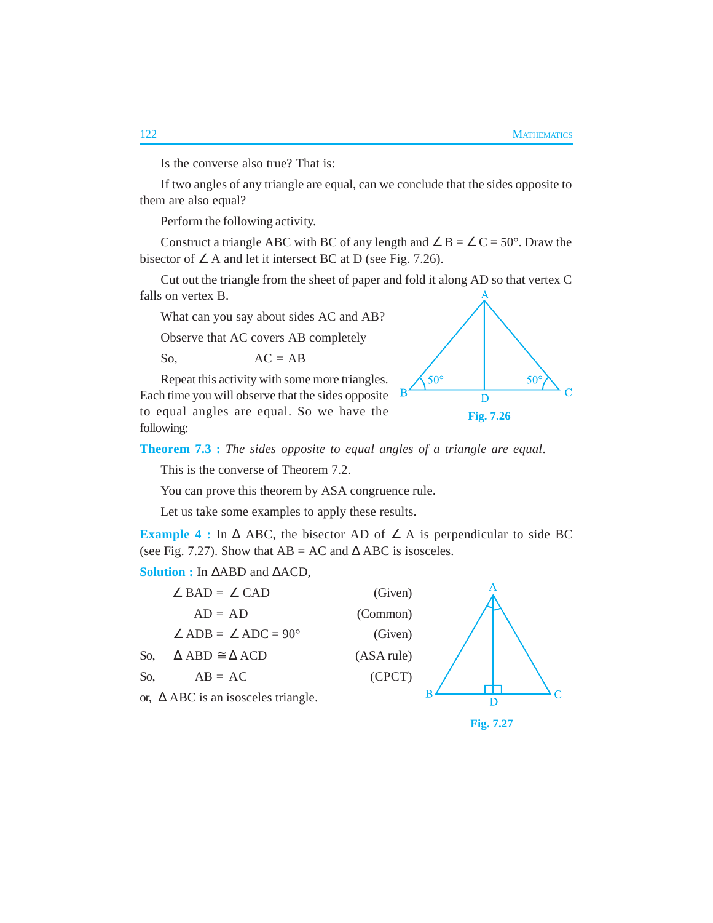Is the converse also true? That is:

If two angles of any triangle are equal, can we conclude that the sides opposite to them are also equal?

Perform the following activity.

Construct a triangle ABC with BC of any length and  $\angle B = \angle C = 50^{\circ}$ . Draw the bisector of  $\angle A$  and let it intersect BC at D (see Fig. 7.26).

Cut out the triangle from the sheet of paper and fold it along AD so that vertex C falls on vertex B.

What can you say about sides AC and AB?

Observe that AC covers AB completely

So,  $AC = AB$ 

Repeat this activity with some more triangles. Each time you will observe that the sides opposite to equal angles are equal. So we have the following:



**Theorem 7.3 :** *The sides opposite to equal angles of a triangle are equal*.

This is the converse of Theorem 7.2.

You can prove this theorem by ASA congruence rule.

Let us take some examples to apply these results.

**Example 4 :** In  $\triangle$  ABC, the bisector AD of  $\angle$  A is perpendicular to side BC (see Fig. 7.27). Show that  $AB = AC$  and  $\triangle ABC$  is isosceles.

**Solution :** In ∆ABD and ∆ACD,



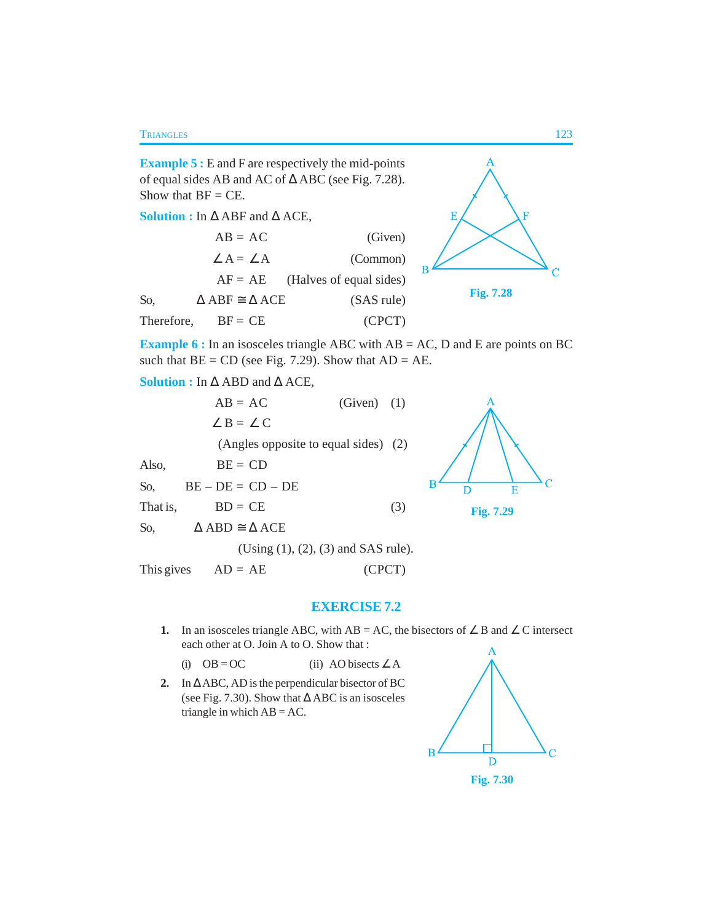**Example 5 :** E and F are respectively the mid-points of equal sides AB and AC of ∆ ABC (see Fig. 7.28). Show that  $BF = CE$ .

**Solution :** In ∆ ABF and ∆ ACE,

|            | $AB = AC$                               | (Given)                           |
|------------|-----------------------------------------|-----------------------------------|
|            | $\angle A = \angle A$                   | (Common)                          |
|            |                                         | $AF = AE$ (Halves of equal sides) |
| So,        | $\triangle$ ABF $\cong$ $\triangle$ ACE | (SAS rule)                        |
| Therefore, | $BF = CE$                               | (CPCT)                            |



**Example 6 :** In an isosceles triangle ABC with AB = AC, D and E are points on BC such that  $BE = CD$  (see Fig. 7.29). Show that  $AD = AE$ .

**Solution :** In ∆ ABD and ∆ ACE,

 $AB = AC$  (Given) (1)  $\angle B = \angle C$ (Angles opposite to equal sides) (2) Also,  $BE = CD$  $\overline{B}$ So,  $BE - DE = CD - DE$ That is,  $BD = CE$  (3) So,  $\triangle$  ABD  $\cong \triangle$  ACE (Using (1), (2), (3) and SAS rule). This gives  $AD = AE$  (CPCT)

# Ċ D E **Fig. 7.29**

**EXERCISE 7.2**

**1.** In an isosceles triangle ABC, with AB = AC, the bisectors of ∠ B and ∠ C intersect each other at O. Join A to O. Show that :

(i)  $OB = OC$  (ii) AO bisects ∠ A

**2.** In ∆ ABC, AD is the perpendicular bisector of BC (see Fig. 7.30). Show that ∆ ABC is an isosceles triangle in which  $AB = AC$ .

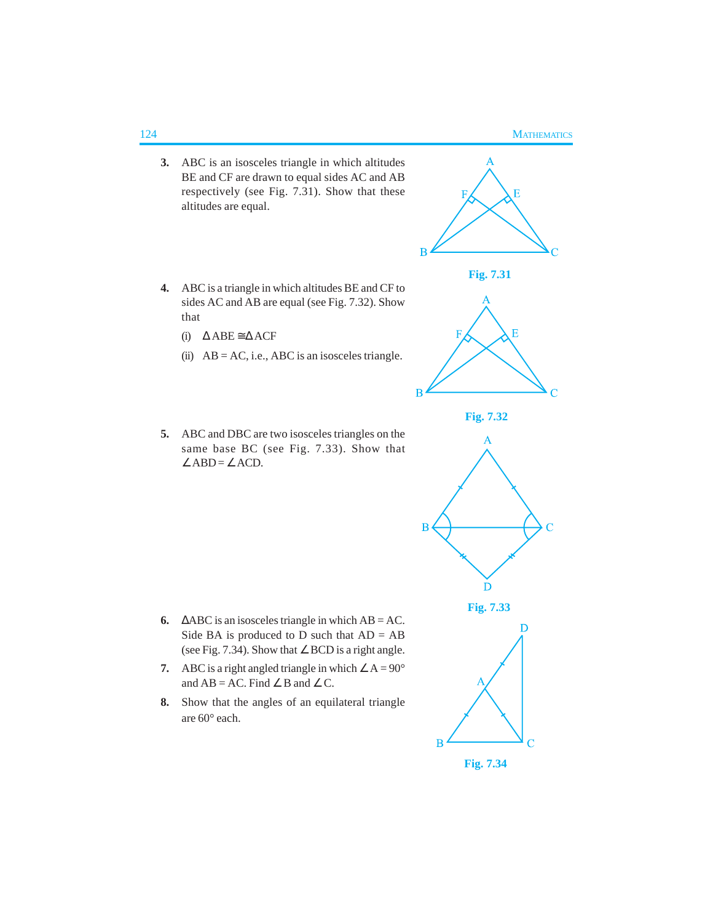- **3.** ABC is an isosceles triangle in which altitudes BE and CF are drawn to equal sides AC and AB respectively (see Fig. 7.31). Show that these altitudes are equal.
- **4.** ABC is a triangle in which altitudes BE and CF to sides AC and AB are equal (see Fig. 7.32). Show that
	- (i) ∆ ABE ≅ ∆ ACF
	- (ii)  $AB = AC$ , i.e., ABC is an isosceles triangle.
- **5.** ABC and DBC are two isosceles triangles on the same base BC (see Fig. 7.33). Show that  $∠ABD = ∠ACD.$

- **6.**  $\triangle ABC$  is an isosceles triangle in which  $AB = AC$ . Side BA is produced to D such that  $AD = AB$ (see Fig. 7.34). Show that ∠ BCD is a right angle.
- **7.** ABC is a right angled triangle in which  $\angle A = 90^\circ$ and  $AB = AC$ . Find  $\angle B$  and  $\angle C$ .
- **8.** Show that the angles of an equilateral triangle are 60° each.



 $\overline{B}$ 

 $\overline{B}$ 

 $\overline{B}$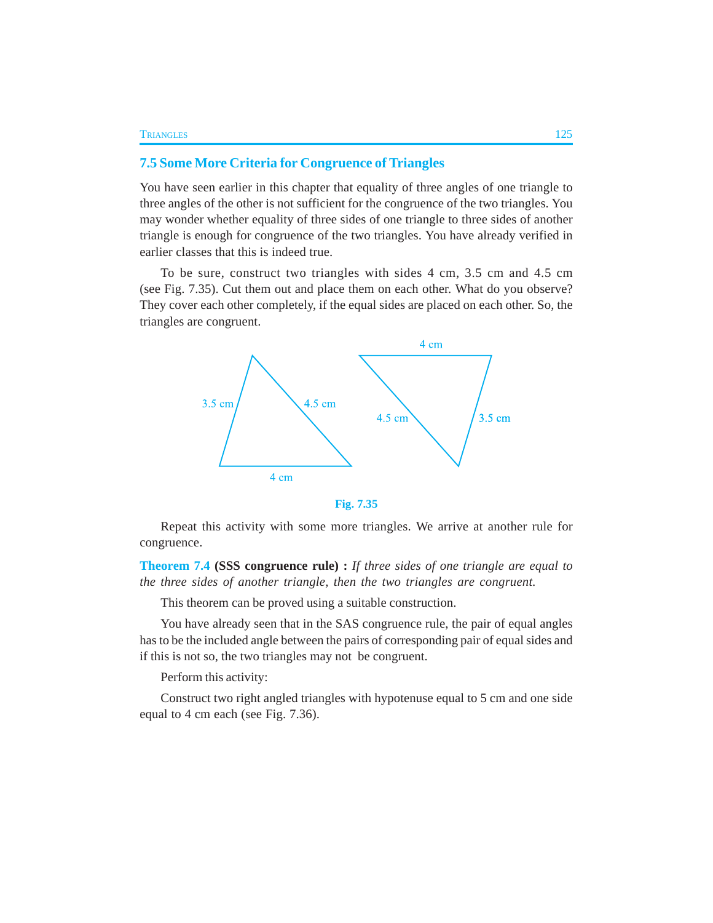# **7.5 Some More Criteria for Congruence of Triangles**

You have seen earlier in this chapter that equality of three angles of one triangle to three angles of the other is not sufficient for the congruence of the two triangles. You may wonder whether equality of three sides of one triangle to three sides of another triangle is enough for congruence of the two triangles. You have already verified in earlier classes that this is indeed true.

To be sure, construct two triangles with sides 4 cm, 3.5 cm and 4.5 cm (see Fig. 7.35). Cut them out and place them on each other. What do you observe? They cover each other completely, if the equal sides are placed on each other. So, the triangles are congruent.



**Fig. 7.35**

Repeat this activity with some more triangles. We arrive at another rule for congruence.

**Theorem 7.4 (SSS congruence rule) :** *If three sides of one triangle are equal to the three sides of another triangle, then the two triangles are congruent.*

This theorem can be proved using a suitable construction.

You have already seen that in the SAS congruence rule, the pair of equal angles has to be the included angle between the pairs of corresponding pair of equal sides and if this is not so, the two triangles may not be congruent.

Perform this activity:

Construct two right angled triangles with hypotenuse equal to 5 cm and one side equal to 4 cm each (see Fig. 7.36).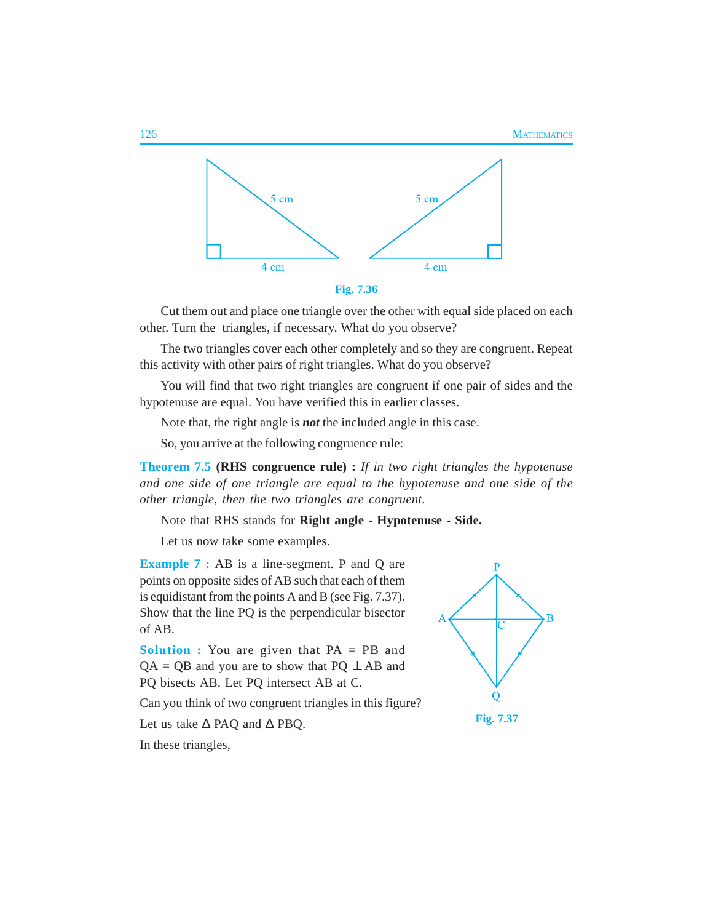

Cut them out and place one triangle over the other with equal side placed on each other. Turn the triangles, if necessary. What do you observe?

The two triangles cover each other completely and so they are congruent. Repeat this activity with other pairs of right triangles. What do you observe?

You will find that two right triangles are congruent if one pair of sides and the hypotenuse are equal. You have verified this in earlier classes.

Note that, the right angle is *not* the included angle in this case.

So, you arrive at the following congruence rule:

**Theorem 7.5 (RHS congruence rule) :** *If in two right triangles the hypotenuse and one side of one triangle are equal to the hypotenuse and one side of the other triangle, then the two triangles are congruent*.

Note that RHS stands for **Right angle - Hypotenuse - Side.**

Let us now take some examples.

**Example 7 :** AB is a line-segment. P and Q are points on opposite sides of AB such that each of them is equidistant from the points A and B (see Fig. 7.37). Show that the line PQ is the perpendicular bisector of AB.

**Solution :** You are given that PA = PB and  $QA = QB$  and you are to show that  $PQ \perp AB$  and PQ bisects AB. Let PQ intersect AB at C.

Can you think of two congruent triangles in this figure?

Let us take ∆ PAQ and ∆ PBQ.

In these triangles,

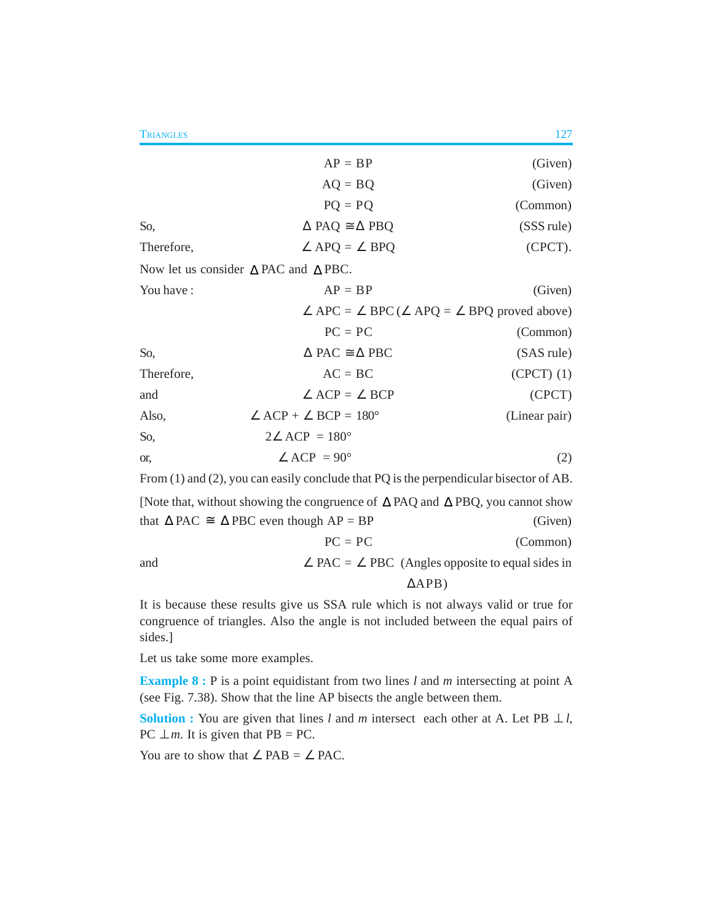|                                                                                                                 | $AP = BP$                                                               | (Given)       |  |
|-----------------------------------------------------------------------------------------------------------------|-------------------------------------------------------------------------|---------------|--|
|                                                                                                                 | $AQ = BQ$                                                               | (Given)       |  |
|                                                                                                                 | $PQ = PQ$                                                               | (Common)      |  |
| So,                                                                                                             | $\triangle$ PAQ $\cong \triangle$ PBQ                                   | (SSS rule)    |  |
| Therefore,                                                                                                      | $\angle$ APQ = $\angle$ BPQ                                             | (CPCT).       |  |
|                                                                                                                 | Now let us consider $\triangle$ PAC and $\triangle$ PBC.                |               |  |
| You have:                                                                                                       | $AP = BP$                                                               | (Given)       |  |
|                                                                                                                 | $\angle$ APC = $\angle$ BPC ( $\angle$ APQ = $\angle$ BPQ proved above) |               |  |
|                                                                                                                 | $PC = PC$                                                               | (Common)      |  |
| So,                                                                                                             | $\triangle$ PAC $\cong \triangle$ PBC                                   | (SAS rule)    |  |
| Therefore,                                                                                                      | $AC = BC$                                                               | $(CPCT)$ (1)  |  |
| and                                                                                                             | $\angle$ ACP = $\angle$ BCP                                             | (CPCT)        |  |
| Also,                                                                                                           | $\angle$ ACP + $\angle$ BCP = 180°                                      | (Linear pair) |  |
| So,                                                                                                             | $2\angle$ ACP = 180 $^{\circ}$                                          |               |  |
| or.                                                                                                             | $\angle$ ACP = 90°                                                      | (2)           |  |
| From $(1)$ and $(2)$ , you can easily conclude that PQ is the perpendicular bisector of AB.                     |                                                                         |               |  |
| $M_{\odot}$ that without showing the congrueses of $\Lambda$ $\rm{DA}$ and $\Lambda$ $\rm{DPO}$ you cannot show |                                                                         |               |  |

[Note that, without showing the congruence of ∆ PAQ and ∆ PBQ, you cannot show that  $\triangle$  PAC ≅  $\triangle$  PBC even though AP = BP (Given)  $PC = PC$  (Common) and  $\angle$  PAC =  $\angle$  PBC (Angles opposite to equal sides in ∆APB)

It is because these results give us SSA rule which is not always valid or true for congruence of triangles. Also the angle is not included between the equal pairs of sides.]

Let us take some more examples.

**Example 8 :** P is a point equidistant from two lines *l* and *m* intersecting at point A (see Fig. 7.38). Show that the line AP bisects the angle between them.

**Solution :** You are given that lines *l* and *m* intersect each other at A. Let PB  $\perp$  *l*, PC  $\perp$  *m*. It is given that PB = PC.

You are to show that  $\angle$  PAB =  $\angle$  PAC.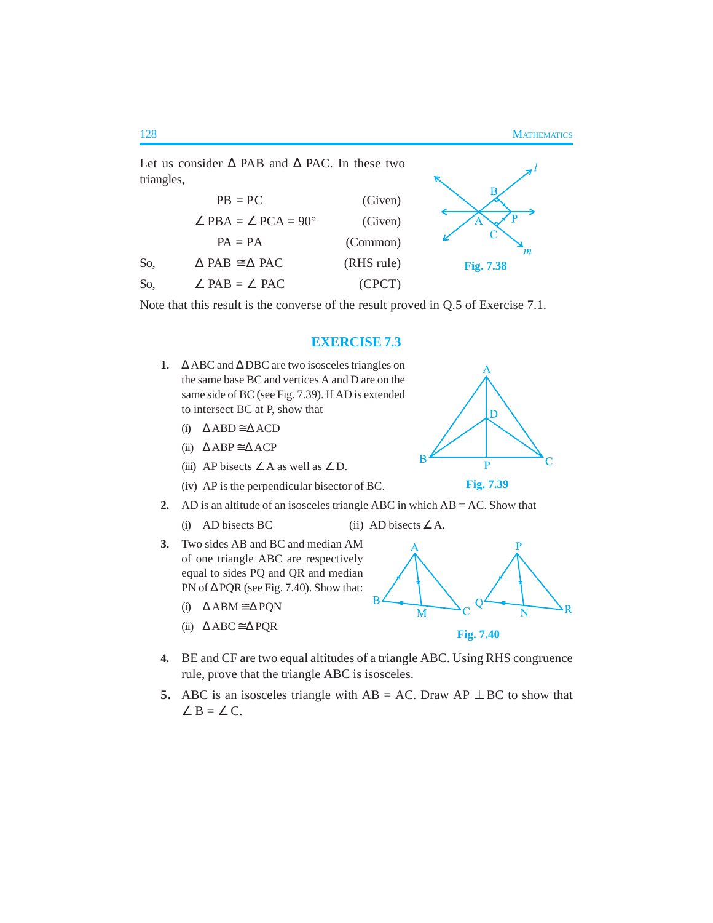Let us consider ∆ PAB and ∆ PAC. In these two triangles,  $PB = PC$  (Given)  $\angle$  PBA =  $\angle$  PCA = 90° (Given)  $PA = PA$  (Common) m So,  $\triangle PAB \cong \triangle PAC$  (RHS rule) **Fig. 7.38** So,  $\angle$  PAB =  $\angle$  PAC (CPCT)

Note that this result is the converse of the result proved in Q.5 of Exercise 7.1.

### **EXERCISE 7.3**

- **1.** ∆ ABC and ∆ DBC are two isosceles triangles on the same base BC and vertices A and D are on the same side of BC (see Fig. 7.39). If AD is extended to intersect BC at P, show that
	- (i) ∆ ABD ≅ ∆ ACD
	- (ii)  $\triangle$  ABP  $\cong$   $\triangle$  ACP
	- (iii) AP bisects  $\angle A$  as well as  $\angle D$ .
	- (iv) AP is the perpendicular bisector of BC.



- (i) AD bisects BC (ii) AD bisects  $\angle A$ .
- **3.** Two sides AB and BC and median AM of one triangle ABC are respectively equal to sides PQ and QR and median PN of ∆ PQR (see Fig. 7.40). Show that:
	- (i) ∆ ABM ≅ ∆ PQN
	- (ii) ∆ ABC ≅ ∆ PQR
- **4.** BE and CF are two equal altitudes of a triangle ABC. Using RHS congruence rule, prove that the triangle ABC is isosceles.
- **5.** ABC is an isosceles triangle with  $AB = AC$ . Draw  $AP \perp BC$  to show that  $\angle B = \angle C$ .





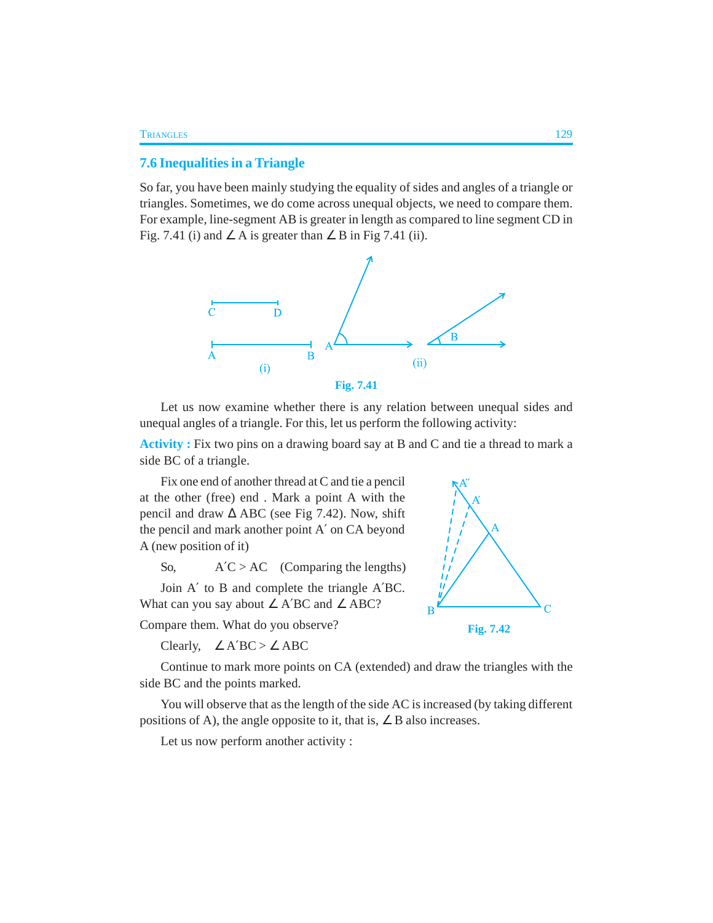### **7.6 Inequalities in a Triangle**

So far, you have been mainly studying the equality of sides and angles of a triangle or triangles. Sometimes, we do come across unequal objects, we need to compare them. For example, line-segment AB is greater in length as compared to line segment CD in Fig. 7.41 (i) and  $\angle A$  is greater than  $\angle B$  in Fig 7.41 (ii).



Let us now examine whether there is any relation between unequal sides and unequal angles of a triangle. For this, let us perform the following activity:

**Activity :** Fix two pins on a drawing board say at B and C and tie a thread to mark a side BC of a triangle.

Fix one end of another thread at C and tie a pencil at the other (free) end . Mark a point A with the pencil and draw  $\Delta$  ABC (see Fig 7.42). Now, shift the pencil and mark another point A′ on CA beyond A (new position of it)

So,  $A'C > AC$  (Comparing the lengths)

Join A′ to B and complete the triangle A′BC. What can you say about ∠ A′BC and ∠ ABC?

Compare them. What do you observe?

Clearly,  $\angle$  A'BC >  $\angle$  ABC



Continue to mark more points on CA (extended) and draw the triangles with the side BC and the points marked.

You will observe that as the length of the side AC is increased (by taking different positions of A), the angle opposite to it, that is,  $\angle$  B also increases.

Let us now perform another activity :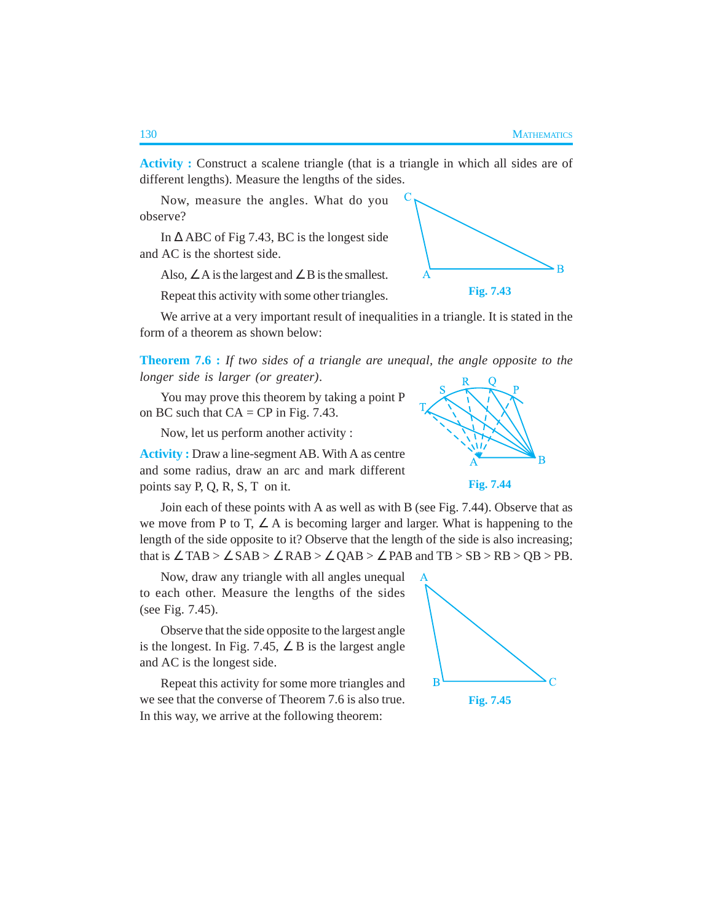B

**Activity :** Construct a scalene triangle (that is a triangle in which all sides are of different lengths). Measure the lengths of the sides.

Now, measure the angles. What do you observe?

In  $\triangle$  ABC of Fig 7.43, BC is the longest side and AC is the shortest side.

Also,  $\angle A$  is the largest and  $\angle B$  is the smallest.

Repeat this activity with some other triangles.

We arrive at a very important result of inequalities in a triangle. It is stated in the form of a theorem as shown below:

**Theorem 7.6 :** *If two sides of a triangle are unequal, the angle opposite to the longer side is larger (or greater)*.

You may prove this theorem by taking a point P on BC such that  $CA = CP$  in Fig. 7.43.

Now, let us perform another activity :

**Activity :** Draw a line-segment AB. With A as centre and some radius, draw an arc and mark different points say P, Q, R, S, T on it.

Join each of these points with A as well as with B (see Fig. 7.44). Observe that as we move from P to T,  $\angle$  A is becoming larger and larger. What is happening to the length of the side opposite to it? Observe that the length of the side is also increasing; that is  $\angle$  TAB >  $\angle$  SAB >  $\angle$  RAB >  $\angle$  QAB >  $\angle$  PAB and TB > SB > RB > QB > PB.

Now, draw any triangle with all angles unequal to each other. Measure the lengths of the sides (see Fig. 7.45).

Observe that the side opposite to the largest angle is the longest. In Fig. 7.45,  $\angle$  B is the largest angle and AC is the longest side.

Repeat this activity for some more triangles and we see that the converse of Theorem 7.6 is also true. In this way, we arrive at the following theorem:





**Fig. 7.43**

**Fig. 7.44**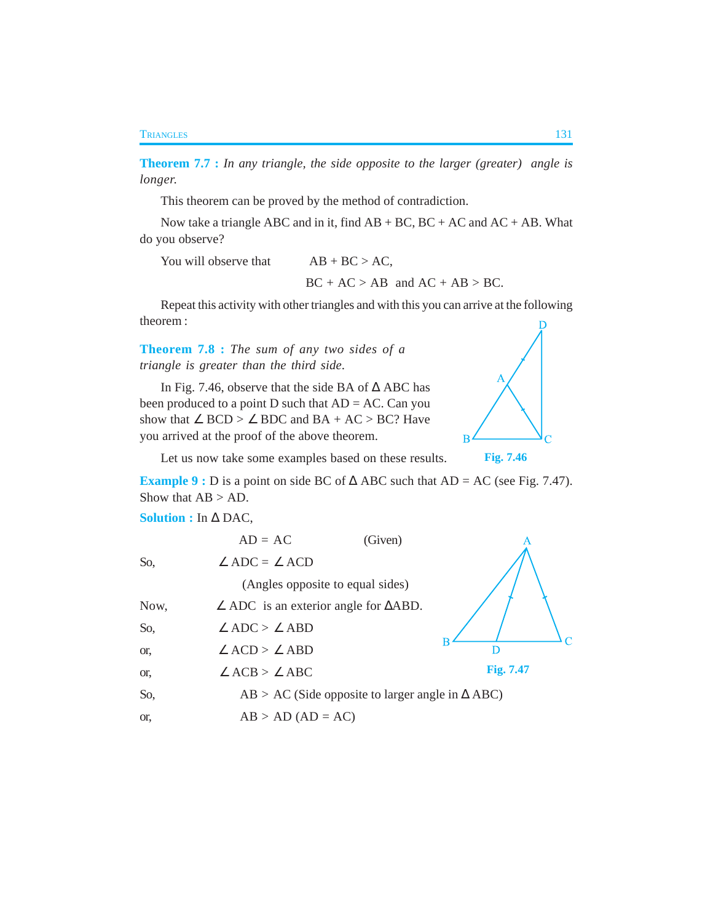**Theorem 7.7 :** *In any triangle, the side opposite to the larger (greater) angle is longer.*

This theorem can be proved by the method of contradiction.

Now take a triangle ABC and in it, find  $AB + BC$ ,  $BC + AC$  and  $AC + AB$ . What do you observe?

You will observe that  $AB + BC > AC$ ,  $BC + AC > AB$  and  $AC + AB > BC$ .

Repeat this activity with other triangles and with this you can arrive at the following theorem :

**Theorem 7.8 :** *The sum of any two sides of a triangle is greater than the third side*.

In Fig. 7.46, observe that the side BA of ∆ ABC has been produced to a point  $D$  such that  $AD = AC$ . Can you show that  $\angle$  BCD >  $\angle$  BDC and BA + AC > BC? Have you arrived at the proof of the above theorem.



**Fig. 7.46**

Let us now take some examples based on these results.

**Example 9 :** D is a point on side BC of  $\triangle$  ABC such that AD = AC (see Fig. 7.47). Show that  $AB > AD$ .

**Solution :** In ∆ DAC,

|      | $AD = AC$                                                     | (Given) |           |
|------|---------------------------------------------------------------|---------|-----------|
| So,  | $\angle ADC = \angle ACD$                                     |         |           |
|      | (Angles opposite to equal sides)                              |         |           |
| Now, | $\angle$ ADC is an exterior angle for $\triangle$ ABD.        |         |           |
| So,  | $\angle$ ADC > $\angle$ ABD                                   |         |           |
| or,  | $\angle$ ACD > $\angle$ ABD                                   |         |           |
| or,  | $\angle$ ACB > $\angle$ ABC                                   |         | Fig. 7.47 |
| So,  | $AB > AC$ (Side opposite to larger angle in $\triangle ABC$ ) |         |           |
| or.  | $AB > AD (AD = AC)$                                           |         |           |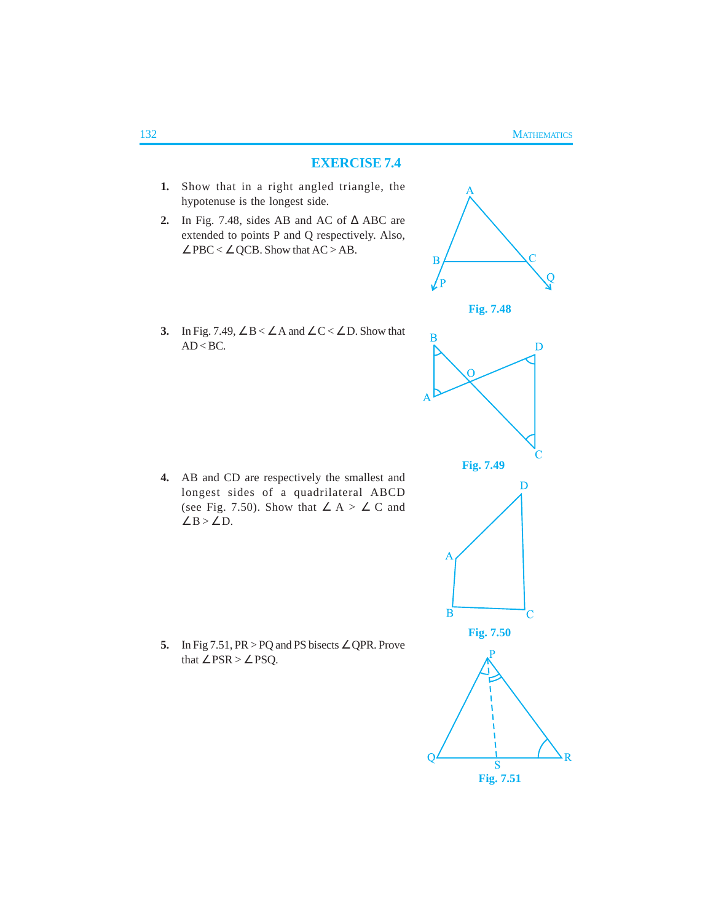## **EXERCISE 7.4**

- **1.** Show that in a right angled triangle, the hypotenuse is the longest side.
- **2.** In Fig. 7.48, sides AB and AC of ∆ ABC are extended to points P and Q respectively. Also,  $\angle$  PBC <  $\angle$  QCB. Show that AC > AB.



**Fig. 7.48**

**3.** In Fig. 7.49,  $\angle B < \angle A$  and  $\angle C < \angle D$ . Show that  $AD < BC$ .

**4.** AB and CD are respectively the smallest and longest sides of a quadrilateral ABCD (see Fig. 7.50). Show that  $\angle A > \angle C$  and ∠ $B > ∠ D$ .

**5.** In Fig 7.51, PR > PQ and PS bisects ∠ QPR. Prove that  $\angle$  PSR >  $\angle$  PSQ.

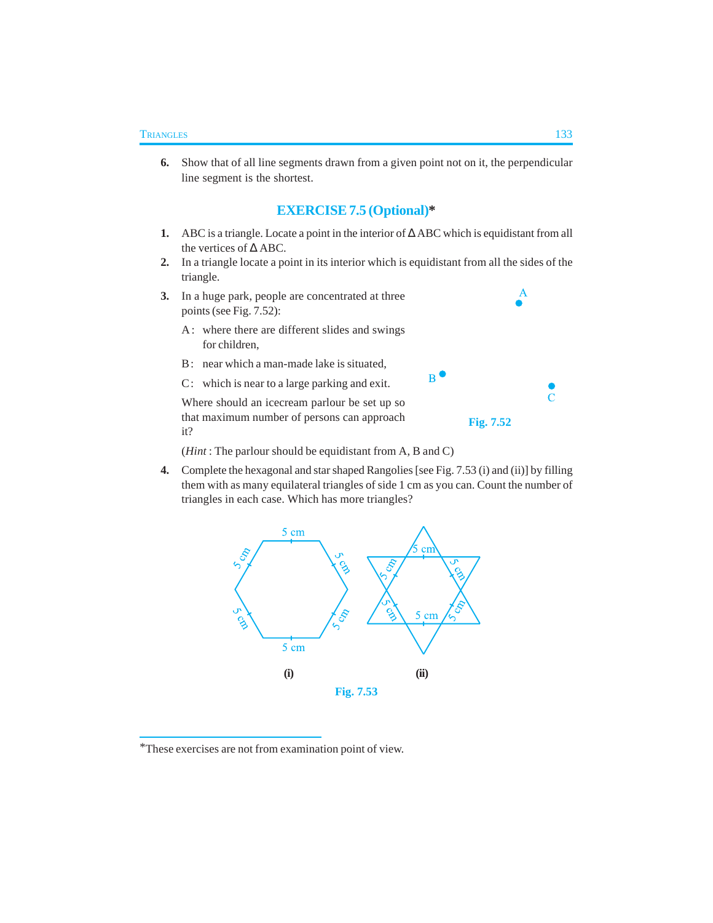**6.** Show that of all line segments drawn from a given point not on it, the perpendicular line segment is the shortest.

# **EXERCISE 7.5 (Optional)\***

- **1.** ABC is a triangle. Locate a point in the interior of ∆ ABC which is equidistant from all the vertices of ∆ ABC.
- **2.** In a triangle locate a point in its interior which is equidistant from all the sides of the triangle.
- **3.** In a huge park, people are concentrated at three points (see Fig. 7.52):
	- A: where there are different slides and swings for children,
	- B : near which a man-made lake is situated,
	- C : which is near to a large parking and exit.

Where should an icecream parlour be set up so that maximum number of persons can approach it?



 $B$ 

(*Hint* : The parlour should be equidistant from A, B and C)

**4.** Complete the hexagonal and star shaped Rangolies [see Fig. 7.53 (i) and (ii)] by filling them with as many equilateral triangles of side 1 cm as you can. Count the number of triangles in each case. Which has more triangles?



<sup>\*</sup>These exercises are not from examination point of view.